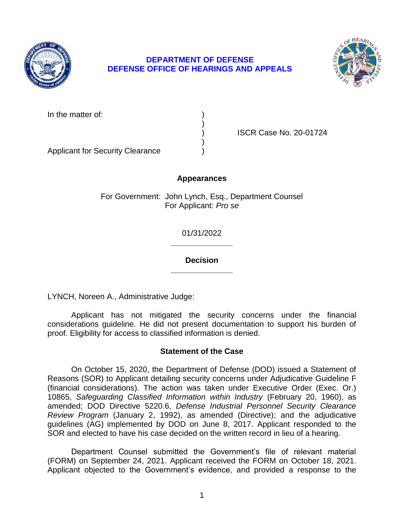

# **DEPARTMENT OF DEFENSE DEFENSE OFFICE OF HEARINGS AND APPEALS**



In the matter of:

) ISCR Case No. 20-01724

Applicant for Security Clearance )

# **Appearances**

)

)

For Government: John Lynch, Esq., Department Counsel For Applicant: *Pro se* 

> **\_\_\_\_\_\_\_\_\_\_\_\_\_\_**  01/31/2022

> **\_\_\_\_\_\_\_\_\_\_\_\_\_\_ Decision**

LYNCH, Noreen A., Administrative Judge:

 Applicant has not mitigated the security concerns under the financial considerations guideline. He did not present documentation to support his burden of proof. Eligibility for access to classified information is denied.

# **Statement of the Case**

 On October 15, 2020, the Department of Defense (DOD) issued a Statement of Reasons (SOR) to Applicant detailing security concerns under Adjudicative Guideline F (financial considerations). The action was taken under Executive Order (Exec. Or.)  10865, *Safeguarding Classified Information within Industry* (February 20, 1960), as *Review Program* (January 2, 1992), as amended (Directive); and the adjudicative guidelines (AG) implemented by DOD on June 8, 2017. Applicant responded to the amended; DOD Directive 5220.6, *Defense Industrial Personnel Security Clearance*  SOR and elected to have his case decided on the written record in lieu of a hearing.

 Department Counsel submitted the Government's file of relevant material (FORM) on September 24, 2021. Applicant received the FORM on October 18, 2021. Applicant objected to the Government's evidence, and provided a response to the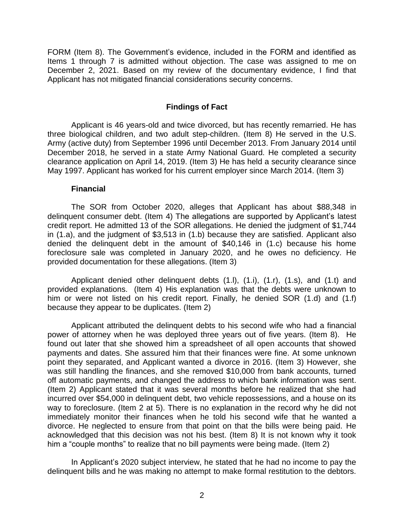FORM (Item 8). The Government's evidence, included in the FORM and identified as Items 1 through 7 is admitted without objection. The case was assigned to me on December 2, 2021. Based on my review of the documentary evidence, I find that Applicant has not mitigated financial considerations security concerns.

### **Findings of Fact**

 three biological children, and two adult step-children. (Item 8) He served in the U.S. Army (active duty) from September 1996 until December 2013. From January 2014 until December 2018, he served in a state Army National Guard. He completed a security clearance application on April 14, 2019. (Item 3) He has held a security clearance since Applicant is 46 years-old and twice divorced, but has recently remarried. He has May 1997. Applicant has worked for his current employer since March 2014. (Item 3)

#### **Financial**

 delinquent consumer debt. (Item 4) The allegations are supported by Applicant's latest credit report. He admitted 13 of the SOR allegations. He denied the judgment of \$1,744 in (1.a), and the judgment of \$3,513 in (1.b) because they are satisfied. Applicant also denied the delinquent debt in the amount of \$40,146 in (1.c) because his home foreclosure sale was completed in January 2020, and he owes no deficiency. He The SOR from October 2020, alleges that Applicant has about \$88,348 in provided documentation for these allegations. (Item 3)

 provided explanations. (Item 4) His explanation was that the debts were unknown to him or were not listed on his credit report. Finally, he denied SOR (1.d) and (1.f) Applicant denied other delinquent debts (1.l), (1.i), (1.r), (1.s), and (1.t) and because they appear to be duplicates. (Item 2)

 Applicant attributed the delinquent debts to his second wife who had a financial power of attorney when he was deployed three years out of five years. (Item 8). He found out later that she showed him a spreadsheet of all open accounts that showed payments and dates. She assured him that their finances were fine. At some unknown point they separated, and Applicant wanted a divorce in 2016. (Item 3) However, she was still handling the finances, and she removed \$10,000 from bank accounts, turned off automatic payments, and changed the address to which bank information was sent. (Item 2) Applicant stated that it was several months before he realized that she had incurred over \$54,000 in delinquent debt, two vehicle repossessions, and a house on its way to foreclosure. (Item 2 at 5). There is no explanation in the record why he did not immediately monitor their finances when he told his second wife that he wanted a divorce. He neglected to ensure from that point on that the bills were being paid. He acknowledged that this decision was not his best. (Item 8) It is not known why it took him a "couple months" to realize that no bill payments were being made. (Item 2)

 In Applicant's 2020 subject interview, he stated that he had no income to pay the delinquent bills and he was making no attempt to make formal restitution to the debtors.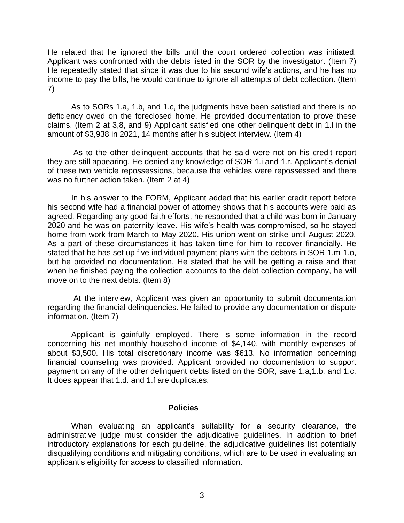He related that he ignored the bills until the court ordered collection was initiated. Applicant was confronted with the debts listed in the SOR by the investigator. (Item 7) He repeatedly stated that since it was due to his second wife's actions, and he has no income to pay the bills, he would continue to ignore all attempts of debt collection. (Item 7)

 As to SORs 1.a, 1.b, and 1.c, the judgments have been satisfied and there is no deficiency owed on the foreclosed home. He provided documentation to prove these claims. (Item 2 at 3,8, and 9) Applicant satisfied one other delinquent debt in 1.l in the amount of \$3,938 in 2021, 14 months after his subject interview. (Item 4)

 As to the other delinquent accounts that he said were not on his credit report they are still appearing. He denied any knowledge of SOR 1.i and 1.r. Applicant's denial of these two vehicle repossessions, because the vehicles were repossessed and there was no further action taken. (Item 2 at 4)

 In his answer to the FORM, Applicant added that his earlier credit report before his second wife had a financial power of attorney shows that his accounts were paid as 2020 and he was on paternity leave. His wife's health was compromised, so he stayed home from work from March to May 2020. His union went on strike until August 2020. As a part of these circumstances it has taken time for him to recover financially. He but he provided no documentation. He stated that he will be getting a raise and that when he finished paying the collection accounts to the debt collection company, he will agreed. Regarding any good-faith efforts, he responded that a child was born in January stated that he has set up five individual payment plans with the debtors in SOR 1.m-1.o, move on to the next debts. (Item 8)

 At the interview, Applicant was given an opportunity to submit documentation regarding the financial delinquencies. He failed to provide any documentation or dispute information. (Item 7)

 Applicant is gainfully employed. There is some information in the record concerning his net monthly household income of \$4,140, with monthly expenses of about \$3,500. His total discretionary income was \$613. No information concerning financial counseling was provided. Applicant provided no documentation to support payment on any of the other delinquent debts listed on the SOR, save 1.a,1.b, and 1.c. It does appear that 1.d. and 1.f are duplicates.

#### **Policies**

 When evaluating an applicant's suitability for a security clearance, the administrative judge must consider the adjudicative guidelines. In addition to brief introductory explanations for each guideline, the adjudicative guidelines list potentially disqualifying conditions and mitigating conditions, which are to be used in evaluating an applicant's eligibility for access to classified information.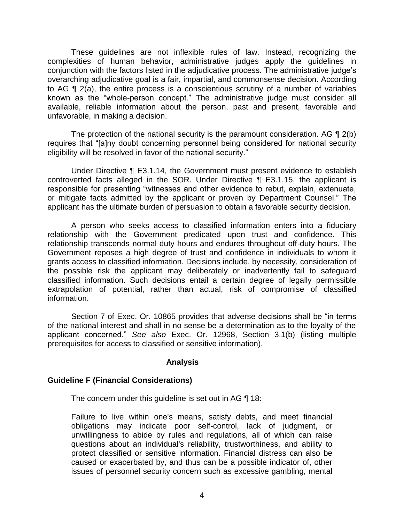These guidelines are not inflexible rules of law. Instead, recognizing the complexities of human behavior, administrative judges apply the guidelines in conjunction with the factors listed in the adjudicative process. The administrative judge's overarching adjudicative goal is a fair, impartial, and commonsense decision. According to AG ¶ 2(a), the entire process is a conscientious scrutiny of a number of variables known as the "whole-person concept." The administrative judge must consider all available, reliable information about the person, past and present, favorable and unfavorable, in making a decision.

The protection of the national security is the paramount consideration. AG  $\P$  2(b) eligibility will be resolved in favor of the national security." requires that "[a]ny doubt concerning personnel being considered for national security

 Under Directive ¶ E3.1.14, the Government must present evidence to establish controverted facts alleged in the SOR. Under Directive ¶ E3.1.15, the applicant is responsible for presenting "witnesses and other evidence to rebut, explain, extenuate, or mitigate facts admitted by the applicant or proven by Department Counsel." The applicant has the ultimate burden of persuasion to obtain a favorable security decision.

 A person who seeks access to classified information enters into a fiduciary relationship with the Government predicated upon trust and confidence. This relationship transcends normal duty hours and endures throughout off-duty hours. The Government reposes a high degree of trust and confidence in individuals to whom it grants access to classified information. Decisions include, by necessity, consideration of the possible risk the applicant may deliberately or inadvertently fail to safeguard classified information. Such decisions entail a certain degree of legally permissible extrapolation of potential, rather than actual, risk of compromise of classified information.

 Section 7 of Exec. Or. 10865 provides that adverse decisions shall be "in terms of the national interest and shall in no sense be a determination as to the loyalty of the prerequisites for access to classified or sensitive information). applicant concerned." *See also* Exec. Or. 12968, Section 3.1(b) (listing multiple

### **Analysis**

### **Guideline F (Financial Considerations)**

The concern under this guideline is set out in AG ¶ 18:

Failure to live within one's means, satisfy debts, and meet financial obligations may indicate poor self-control, lack of judgment, or unwillingness to abide by rules and regulations, all of which can raise questions about an individual's reliability, trustworthiness, and ability to protect classified or sensitive information. Financial distress can also be caused or exacerbated by, and thus can be a possible indicator of, other issues of personnel security concern such as excessive gambling, mental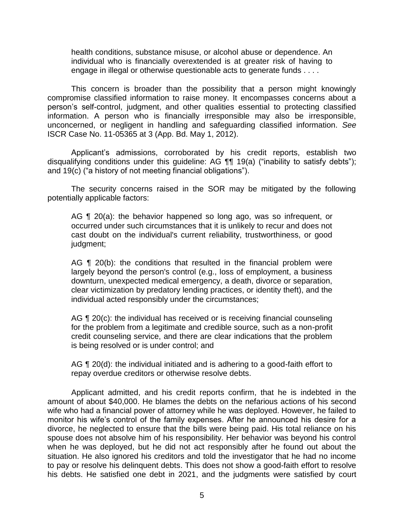health conditions, substance misuse, or alcohol abuse or dependence. An individual who is financially overextended is at greater risk of having to engage in illegal or otherwise questionable acts to generate funds . . . .

 This concern is broader than the possibility that a person might knowingly compromise classified information to raise money. It encompasses concerns about a person's self-control, judgment, and other qualities essential to protecting classified information. A person who is financially irresponsible may also be irresponsible, unconcerned, or negligent in handling and safeguarding classified information. *See*  ISCR Case No. 11-05365 at 3 (App. Bd. May 1, 2012).

 Applicant's admissions, corroborated by his credit reports, establish two disqualifying conditions under this guideline: AG ¶¶ 19(a) ("inability to satisfy debts"); and 19(c) ("a history of not meeting financial obligations").

 The security concerns raised in the SOR may be mitigated by the following potentially applicable factors:

AG ¶ 20(a): the behavior happened so long ago, was so infrequent, or occurred under such circumstances that it is unlikely to recur and does not cast doubt on the individual's current reliability, trustworthiness, or good judgment;

AG  $\P$  20(b): the conditions that resulted in the financial problem were largely beyond the person's control (e.g., loss of employment, a business clear victimization by predatory lending practices, or identity theft), and the downturn, unexpected medical emergency, a death, divorce or separation, individual acted responsibly under the circumstances;

AG ¶ 20(c): the individual has received or is receiving financial counseling for the problem from a legitimate and credible source, such as a non-profit credit counseling service, and there are clear indications that the problem is being resolved or is under control; and

AG ¶ 20(d): the individual initiated and is adhering to a good-faith effort to repay overdue creditors or otherwise resolve debts.

Applicant admitted, and his credit reports confirm, that he is indebted in the amount of about \$40,000. He blames the debts on the nefarious actions of his second wife who had a financial power of attorney while he was deployed. However, he failed to monitor his wife's control of the family expenses. After he announced his desire for a divorce, he neglected to ensure that the bills were being paid. His total reliance on his spouse does not absolve him of his responsibility. Her behavior was beyond his control when he was deployed, but he did not act responsibly after he found out about the situation. He also ignored his creditors and told the investigator that he had no income to pay or resolve his delinquent debts. This does not show a good-faith effort to resolve his debts. He satisfied one debt in 2021, and the judgments were satisfied by court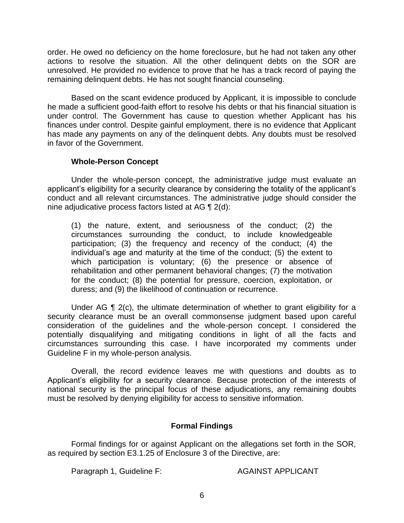order. He owed no deficiency on the home foreclosure, but he had not taken any other actions to resolve the situation. All the other delinquent debts on the SOR are unresolved. He provided no evidence to prove that he has a track record of paying the remaining delinquent debts. He has not sought financial counseling.

 Based on the scant evidence produced by Applicant, it is impossible to conclude he made a sufficient good-faith effort to resolve his debts or that his financial situation is under control. The Government has cause to question whether Applicant has his finances under control. Despite gainful employment, there is no evidence that Applicant has made any payments on any of the delinquent debts. Any doubts must be resolved in favor of the Government.

# **Whole-Person Concept**

Under the whole-person concept, the administrative judge must evaluate an applicant's eligibility for a security clearance by considering the totality of the applicant's conduct and all relevant circumstances. The administrative judge should consider the nine adjudicative process factors listed at AG ¶ 2(d):

(1) the nature, extent, and seriousness of the conduct; (2) the circumstances surrounding the conduct, to include knowledgeable participation; (3) the frequency and recency of the conduct; (4) the individual's age and maturity at the time of the conduct; (5) the extent to which participation is voluntary; (6) the presence or absence of rehabilitation and other permanent behavioral changes; (7) the motivation for the conduct; (8) the potential for pressure, coercion, exploitation, or duress; and (9) the likelihood of continuation or recurrence.

Under AG ¶ 2(c), the ultimate determination of whether to grant eligibility for a security clearance must be an overall commonsense judgment based upon careful consideration of the guidelines and the whole-person concept. I considered the potentially disqualifying and mitigating conditions in light of all the facts and circumstances surrounding this case. I have incorporated my comments under Guideline F in my whole-person analysis.

 Overall, the record evidence leaves me with questions and doubts as to Applicant's eligibility for a security clearance. Because protection of the interests of national security is the principal focus of these adjudications, any remaining doubts must be resolved by denying eligibility for access to sensitive information.

# **Formal Findings**

 Formal findings for or against Applicant on the allegations set forth in the SOR, as required by section E3.1.25 of Enclosure 3 of the Directive, are:

Paragraph 1, Guideline F: AGAINST APPLICANT